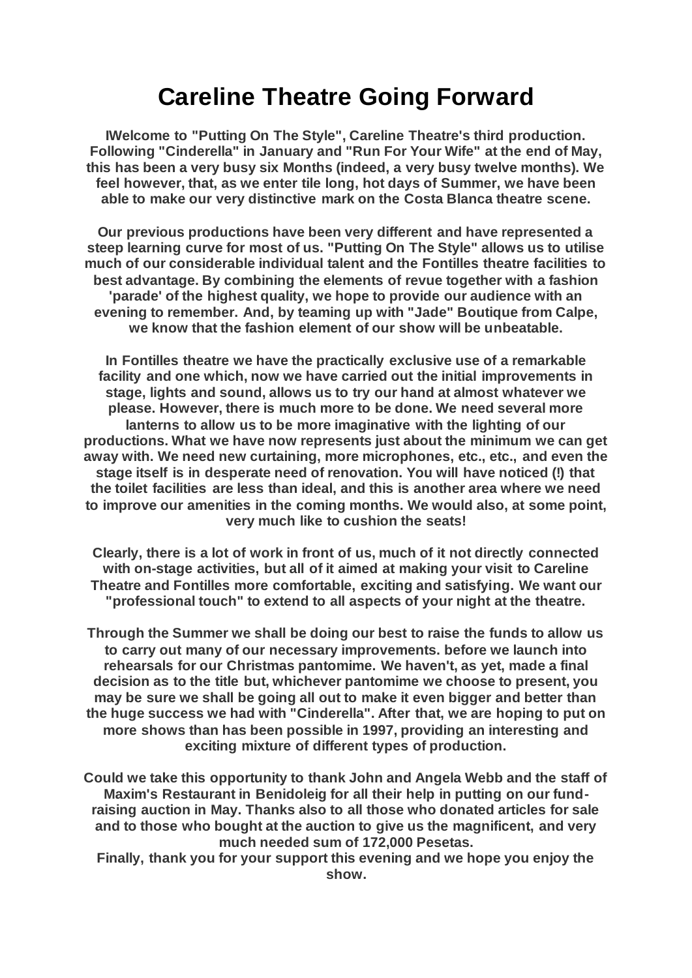# **Careline Theatre Going Forward**

**IWelcome to "Putting On The Style", Careline Theatre's third production. Following "Cinderella" in January and "Run For Your Wife" at the end of May, this has been a very busy six Months (indeed, a very busy twelve months). We feel however, that, as we enter tile long, hot days of Summer, we have been able to make our very distinctive mark on the Costa Blanca theatre scene.**

**Our previous productions have been very different and have represented a steep learning curve for most of us. "Putting On The Style" allows us to utilise much of our considerable individual talent and the Fontilles theatre facilities to best advantage. By combining the elements of revue together with a fashion 'parade' of the highest quality, we hope to provide our audience with an evening to remember. And, by teaming up with "Jade" Boutique from Calpe, we know that the fashion element of our show will be unbeatable.**

**In Fontilles theatre we have the practically exclusive use of a remarkable facility and one which, now we have carried out the initial improvements in stage, lights and sound, allows us to try our hand at almost whatever we please. However, there is much more to be done. We need several more lanterns to allow us to be more imaginative with the lighting of our productions. What we have now represents just about the minimum we can get away with. We need new curtaining, more microphones, etc., etc., and even the stage itself is in desperate need of renovation. You will have noticed (!) that the toilet facilities are less than ideal, and this is another area where we need to improve our amenities in the coming months. We would also, at some point, very much like to cushion the seats!**

**Clearly, there is a lot of work in front of us, much of it not directly connected with on-stage activities, but all of it aimed at making your visit to Careline Theatre and Fontilles more comfortable, exciting and satisfying. We want our "professional touch" to extend to all aspects of your night at the theatre.**

**Through the Summer we shall be doing our best to raise the funds to allow us to carry out many of our necessary improvements. before we launch into rehearsals for our Christmas pantomime. We haven't, as yet, made a final decision as to the title but, whichever pantomime we choose to present, you may be sure we shall be going all out to make it even bigger and better than the huge success we had with "Cinderella". After that, we are hoping to put on more shows than has been possible in 1997, providing an interesting and exciting mixture of different types of production.**

**Could we take this opportunity to thank John and Angela Webb and the staff of Maxim's Restaurant in Benidoleig for all their help in putting on our fundraising auction in May. Thanks also to all those who donated articles for sale and to those who bought at the auction to give us the magnificent, and very much needed sum of 172,000 Pesetas.**

**Finally, thank you for your support this evening and we hope you enjoy the show.**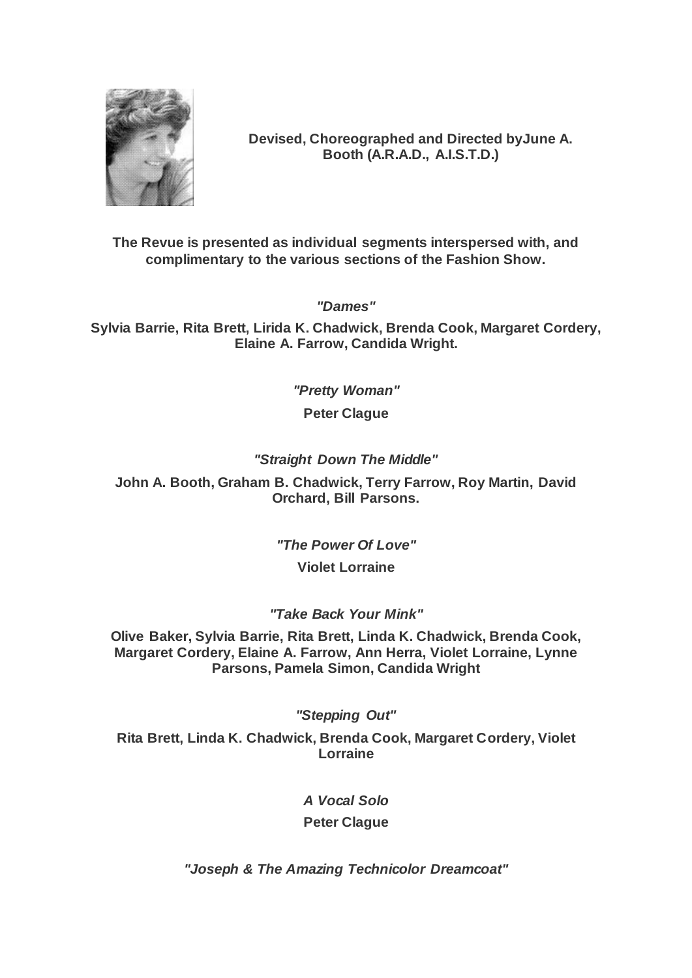

**Devised, Choreographed and Directed byJune A. Booth (A.R.A.D., A.I.S.T.D.)**

**The Revue is presented as individual segments interspersed with, and complimentary to the various sections of the Fashion Show.**

*"Dames"*

**Sylvia Barrie, Rita Brett, Lirida K. Chadwick, Brenda Cook, Margaret Cordery, Elaine A. Farrow, Candida Wright.**

> *"Pretty Woman"* **Peter Clague**

# *"Straight Down The Middle"*

**John A. Booth, Graham B. Chadwick, Terry Farrow, Roy Martin, David Orchard, Bill Parsons.**

*"The Power Of Love"*

# **Violet Lorraine**

# *"Take Back Your Mink"*

**Olive Baker, Sylvia Barrie, Rita Brett, Linda K. Chadwick, Brenda Cook, Margaret Cordery, Elaine A. Farrow, Ann Herra, Violet Lorraine, Lynne Parsons, Pamela Simon, Candida Wright**

*"Stepping Out"*

**Rita Brett, Linda K. Chadwick, Brenda Cook, Margaret Cordery, Violet Lorraine**

*A Vocal Solo*

**Peter Clague**

*"Joseph & The Amazing Technicolor Dreamcoat"*